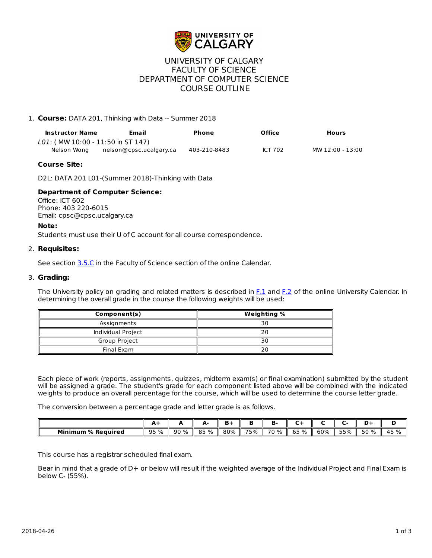

# UNIVERSITY OF CALGARY FACULTY OF SCIENCE DEPARTMENT OF COMPUTER SCIENCE COURSE OUTLINE

## 1. **Course:** DATA 201, Thinking with Data -- Summer 2018

|                                             | Email<br><b>Instructor Name</b> |              | Office         | <b>Hours</b>     |  |  |
|---------------------------------------------|---------------------------------|--------------|----------------|------------------|--|--|
| <i>L01:</i> ( MW 10:00 - 11:50 in ST 147) . |                                 |              |                |                  |  |  |
| Nelson Wona                                 | nelson@cpsc.ucalgary.ca         | 403-210-8483 | <b>ICT 702</b> | MW 12:00 - 13:00 |  |  |

#### **Course Site:**

D2L: DATA 201 L01-(Summer 2018)-Thinking with Data

### **Department of Computer Science:**

Office: ICT 602 Phone: 403 220-6015 Email: cpsc@cpsc.ucalgary.ca

#### **Note:**

Students must use their U of C account for all course correspondence.

### 2. **Requisites:**

See section [3.5.C](http://www.ucalgary.ca/pubs/calendar/current/sc-3-5.html) in the Faculty of Science section of the online Calendar.

#### 3. **Grading:**

The University policy on grading and related matters is described in [F.1](http://www.ucalgary.ca/pubs/calendar/current/f-1.html) and [F.2](http://www.ucalgary.ca/pubs/calendar/current/f-2.html) of the online University Calendar. In determining the overall grade in the course the following weights will be used:

| Component(s)       | <b>Weighting %</b> |  |  |  |  |
|--------------------|--------------------|--|--|--|--|
| Assignments        | 30                 |  |  |  |  |
| Individual Project |                    |  |  |  |  |
| Group Project      | 30                 |  |  |  |  |
| Final Exam         |                    |  |  |  |  |

Each piece of work (reports, assignments, quizzes, midterm exam(s) or final examination) submitted by the student will be assigned a grade. The student's grade for each component listed above will be combined with the indicated weights to produce an overall percentage for the course, which will be used to determine the course letter grade.

The conversion between a percentage grade and letter grade is as follows.

|                           |            |      |            | - - - |     |      |                  |     |                  |      |                    |
|---------------------------|------------|------|------------|-------|-----|------|------------------|-----|------------------|------|--------------------|
| <b>Minimum % Required</b> | 95 %<br>-- | 90 % | <b>95%</b> | 80%   | 75% | 70 % | <b>S5%</b><br>ບບ | 60% | 55%<br><u>JJ</u> | 50 % | $\sim$<br>45<br>7ο |

This course has a registrar scheduled final exam.

Bear in mind that a grade of D+ or below will result if the weighted average of the Individual Project and Final Exam is below C- (55%).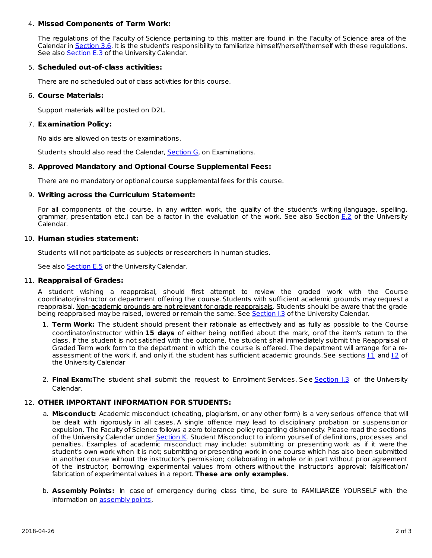### 4. **Missed Components of Term Work:**

The regulations of the Faculty of Science pertaining to this matter are found in the Faculty of Science area of the Calendar in [Section](http://www.ucalgary.ca/pubs/calendar/current/sc-3-6.html) 3.6. It is the student's responsibility to familiarize himself/herself/themself with these regulations. See also **[Section](http://www.ucalgary.ca/pubs/calendar/current/e-3.html) E.3** of the University Calendar.

### 5. **Scheduled out-of-class activities:**

There are no scheduled out of class activities for this course.

### 6. **Course Materials:**

Support materials will be posted on D2L.

## 7. **Examination Policy:**

No aids are allowed on tests or examinations.

Students should also read the Calendar, [Section](http://www.ucalgary.ca/pubs/calendar/current/g.html) G, on Examinations.

## 8. **Approved Mandatory and Optional Course Supplemental Fees:**

There are no mandatory or optional course supplemental fees for this course.

### 9. **Writing across the Curriculum Statement:**

For all components of the course, in any written work, the quality of the student's writing (language, spelling, grammar, presentation etc.) can be a factor in the evaluation of the work. See also Section [E.2](http://www.ucalgary.ca/pubs/calendar/current/e-2.html) of the University Calendar.

### 10. **Human studies statement:**

Students will not participate as subjects or researchers in human studies.

See also **[Section](http://www.ucalgary.ca/pubs/calendar/current/e-5.html) E.5** of the University Calendar.

### 11. **Reappraisal of Grades:**

A student wishing a reappraisal, should first attempt to review the graded work with the Course coordinator/instructor or department offering the course.Students with sufficient academic grounds may request a reappraisal. Non-academic grounds are not relevant for grade reappraisals. Students should be aware that the grade being reappraised may be raised, lowered or remain the same. See [Section](http://www.ucalgary.ca/pubs/calendar/current/i-3.html) I.3 of the University Calendar.

- 1. **Term Work:** The student should present their rationale as effectively and as fully as possible to the Course coordinator/instructor within **15 days** of either being notified about the mark, orof the item's return to the class. If the student is not satisfied with the outcome, the student shall immediately submit the Reappraisal of Graded Term work form to the department in which the course is offered. The department will arrange for a reassessment of the work if, and only if, the student has sufficient academic grounds.See sections 1.1 and 1.2 of the University Calendar
- 2. **Final Exam:**The student shall submit the request to Enrolment Services. See [Section](http://www.ucalgary.ca/pubs/calendar/current/i-3.html) I.3 of the University Calendar.

## 12. **OTHER IMPORTANT INFORMATION FOR STUDENTS:**

- a. **Misconduct:** Academic misconduct (cheating, plagiarism, or any other form) is a very serious offence that will be dealt with rigorously in all cases. A single offence may lead to disciplinary probation or suspensionor expulsion. The Faculty of Science follows a zero tolerance policy regarding dishonesty. Please read the sections of the University Calendar under [Section](http://www.ucalgary.ca/pubs/calendar/current/k.html) K. Student Misconduct to inform yourself of definitions, processes and penalties. Examples of academic misconduct may include: submitting or presenting work as if it were the student's own work when it is not; submitting or presenting work in one course which has also been submitted in another course without the instructor's permission; collaborating in whole or in part without prior agreement of the instructor; borrowing experimental values from others without the instructor's approval; falsification/ fabrication of experimental values in a report. **These are only examples**.
- b. **Assembly Points:** In case of emergency during class time, be sure to FAMILIARIZE YOURSELF with the information on **[assembly](http://www.ucalgary.ca/emergencyplan/assemblypoints) points**.